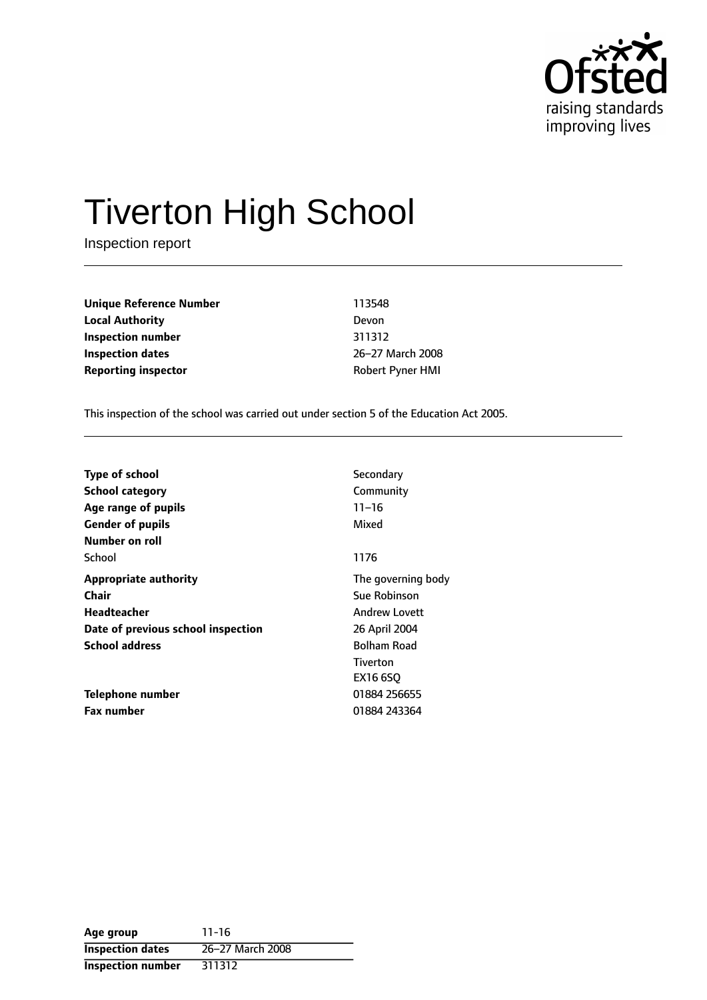

# Tiverton High School

Inspection report

| Unique Reference Number    | 113548     |
|----------------------------|------------|
| <b>Local Authority</b>     | Devon      |
| Inspection number          | 311312     |
| Inspection dates           | $26 - 27N$ |
| <b>Reporting inspector</b> | Robert     |

**Inspection number** 311312 26-27 March 2008 **Robert Pyner HMI** 

This inspection of the school was carried out under section 5 of the Education Act 2005.

| <b>Type of school</b>              | Secondary            |  |
|------------------------------------|----------------------|--|
| <b>School category</b>             | Community            |  |
| Age range of pupils                | $11 - 16$            |  |
| <b>Gender of pupils</b>            | Mixed                |  |
| Number on roll                     |                      |  |
| School                             | 1176                 |  |
| <b>Appropriate authority</b>       | The governing body   |  |
| Chair                              | Sue Robinson         |  |
| Headteacher                        | <b>Andrew Lovett</b> |  |
| Date of previous school inspection | 26 April 2004        |  |
| <b>School address</b>              | <b>Bolham Road</b>   |  |
|                                    | Tiverton             |  |
|                                    | EX16 6SO             |  |
| Telephone number                   | 01884 256655         |  |
| <b>Fax number</b>                  | 01884 243364         |  |

| Age group                | $11 - 16$        |
|--------------------------|------------------|
| <b>Inspection dates</b>  | 26-27 March 2008 |
| <b>Inspection number</b> | 311312           |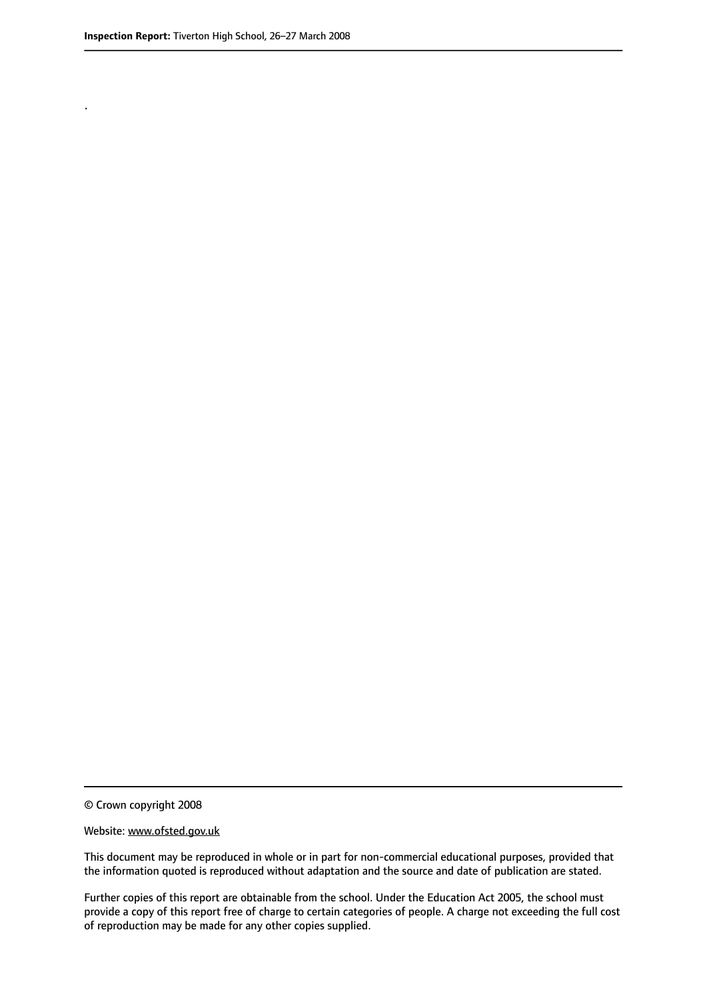.

© Crown copyright 2008

#### Website: www.ofsted.gov.uk

This document may be reproduced in whole or in part for non-commercial educational purposes, provided that the information quoted is reproduced without adaptation and the source and date of publication are stated.

Further copies of this report are obtainable from the school. Under the Education Act 2005, the school must provide a copy of this report free of charge to certain categories of people. A charge not exceeding the full cost of reproduction may be made for any other copies supplied.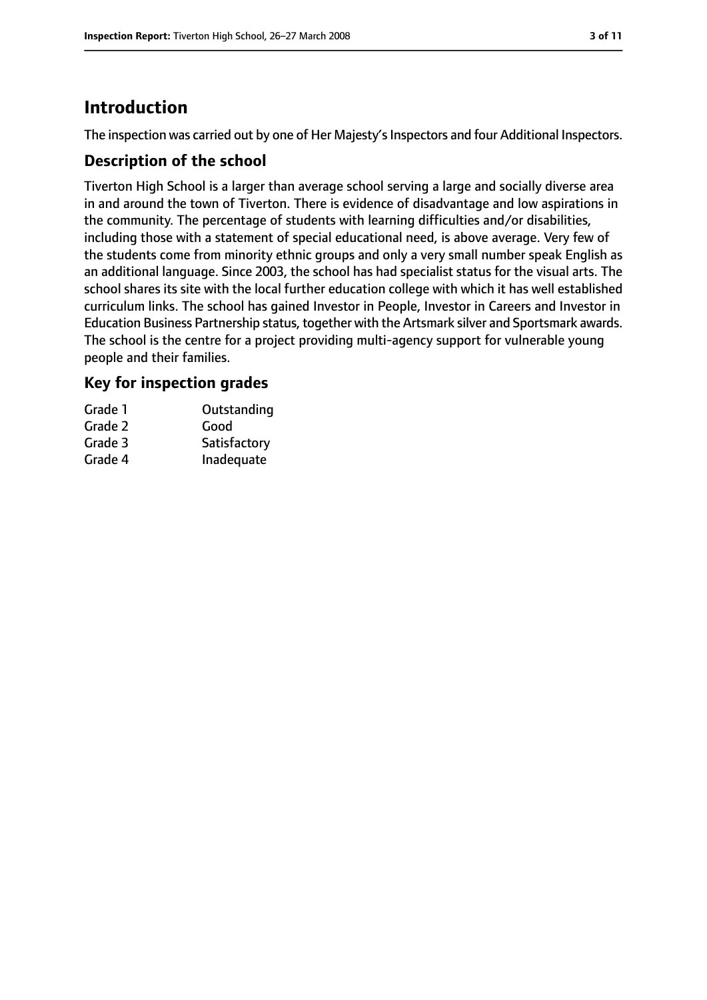# **Introduction**

The inspection was carried out by one of Her Majesty's Inspectors and four Additional Inspectors.

## **Description of the school**

Tiverton High School is a larger than average school serving a large and socially diverse area in and around the town of Tiverton. There is evidence of disadvantage and low aspirations in the community. The percentage of students with learning difficulties and/or disabilities, including those with a statement of special educational need, is above average. Very few of the students come from minority ethnic groups and only a very small number speak English as an additional language. Since 2003, the school has had specialist status for the visual arts. The school shares its site with the local further education college with which it has well established curriculum links. The school has gained Investor in People, Investor in Careers and Investor in Education Business Partnership status, together with the Artsmark silver and Sportsmark awards. The school is the centre for a project providing multi-agency support for vulnerable young people and their families.

## **Key for inspection grades**

| Grade 1 | Outstanding  |
|---------|--------------|
| Grade 2 | Good         |
| Grade 3 | Satisfactory |
| Grade 4 | Inadequate   |
|         |              |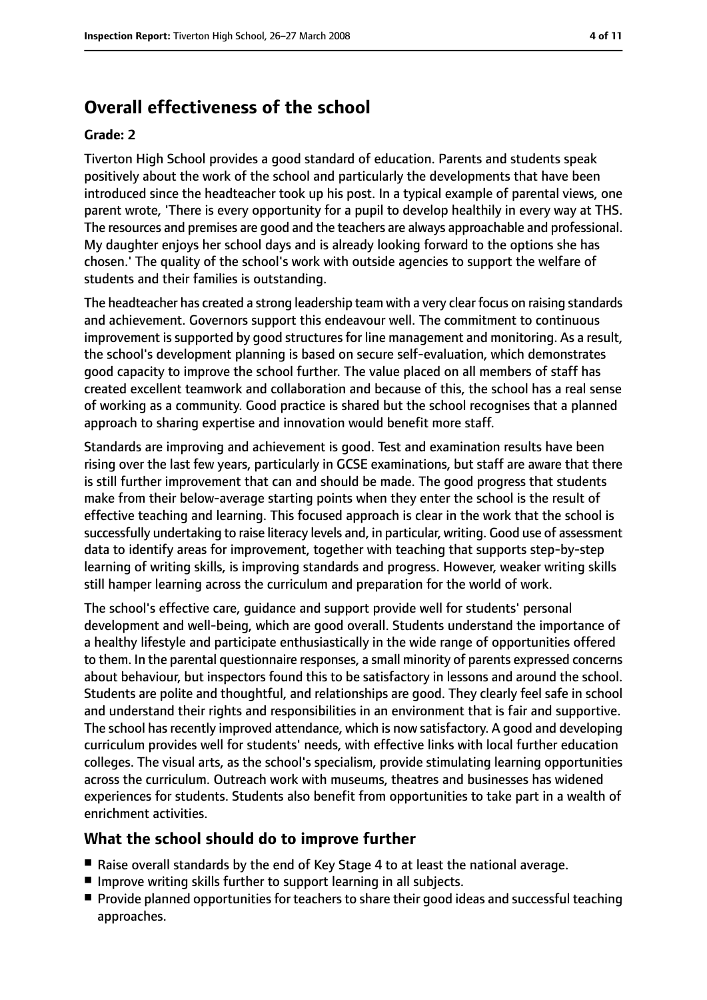# **Overall effectiveness of the school**

#### **Grade: 2**

Tiverton High School provides a good standard of education. Parents and students speak positively about the work of the school and particularly the developments that have been introduced since the headteacher took up his post. In a typical example of parental views, one parent wrote, 'There is every opportunity for a pupil to develop healthily in every way at THS. The resources and premises are good and the teachers are always approachable and professional. My daughter enjoys her school days and is already looking forward to the options she has chosen.' The quality of the school's work with outside agencies to support the welfare of students and their families is outstanding.

The headteacher has created a strong leadership team with a very clear focus on raising standards and achievement. Governors support this endeavour well. The commitment to continuous improvement is supported by good structures for line management and monitoring. As a result, the school's development planning is based on secure self-evaluation, which demonstrates good capacity to improve the school further. The value placed on all members of staff has created excellent teamwork and collaboration and because of this, the school has a real sense of working as a community. Good practice is shared but the school recognises that a planned approach to sharing expertise and innovation would benefit more staff.

Standards are improving and achievement is good. Test and examination results have been rising over the last few years, particularly in GCSE examinations, but staff are aware that there is still further improvement that can and should be made. The good progress that students make from their below-average starting points when they enter the school is the result of effective teaching and learning. This focused approach is clear in the work that the school is successfully undertaking to raise literacy levels and, in particular, writing. Good use of assessment data to identify areas for improvement, together with teaching that supports step-by-step learning of writing skills, is improving standards and progress. However, weaker writing skills still hamper learning across the curriculum and preparation for the world of work.

The school's effective care, guidance and support provide well for students' personal development and well-being, which are good overall. Students understand the importance of a healthy lifestyle and participate enthusiastically in the wide range of opportunities offered to them. In the parental questionnaire responses, a small minority of parents expressed concerns about behaviour, but inspectors found this to be satisfactory in lessons and around the school. Students are polite and thoughtful, and relationships are good. They clearly feel safe in school and understand their rights and responsibilities in an environment that is fair and supportive. The school has recently improved attendance, which is now satisfactory. A good and developing curriculum provides well for students' needs, with effective links with local further education colleges. The visual arts, as the school's specialism, provide stimulating learning opportunities across the curriculum. Outreach work with museums, theatres and businesses has widened experiences for students. Students also benefit from opportunities to take part in a wealth of enrichment activities.

#### **What the school should do to improve further**

- Raise overall standards by the end of Key Stage 4 to at least the national average.
- Improve writing skills further to support learning in all subjects.
- Provide planned opportunities for teachers to share their good ideas and successful teaching approaches.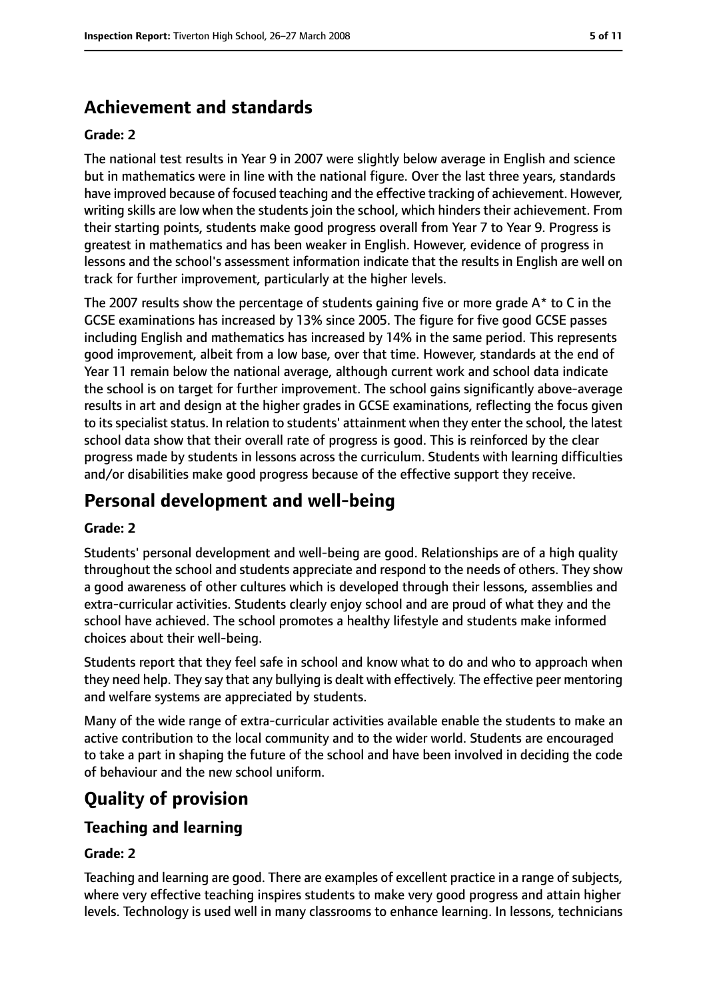# **Achievement and standards**

#### **Grade: 2**

The national test results in Year 9 in 2007 were slightly below average in English and science but in mathematics were in line with the national figure. Over the last three years, standards have improved because of focused teaching and the effective tracking of achievement. However, writing skills are low when the students join the school, which hinders their achievement. From their starting points, students make good progress overall from Year 7 to Year 9. Progress is greatest in mathematics and has been weaker in English. However, evidence of progress in lessons and the school's assessment information indicate that the results in English are well on track for further improvement, particularly at the higher levels.

The 2007 results show the percentage of students gaining five or more grade  $A^*$  to C in the GCSE examinations has increased by 13% since 2005. The figure for five good GCSE passes including English and mathematics has increased by 14% in the same period. This represents good improvement, albeit from a low base, over that time. However, standards at the end of Year 11 remain below the national average, although current work and school data indicate the school is on target for further improvement. The school gains significantly above-average results in art and design at the higher grades in GCSE examinations, reflecting the focus given to its specialist status. In relation to students' attainment when they enter the school, the latest school data show that their overall rate of progress is good. This is reinforced by the clear progress made by students in lessons across the curriculum. Students with learning difficulties and/or disabilities make good progress because of the effective support they receive.

## **Personal development and well-being**

#### **Grade: 2**

Students' personal development and well-being are good. Relationships are of a high quality throughout the school and students appreciate and respond to the needs of others. They show a good awareness of other cultures which is developed through their lessons, assemblies and extra-curricular activities. Students clearly enjoy school and are proud of what they and the school have achieved. The school promotes a healthy lifestyle and students make informed choices about their well-being.

Students report that they feel safe in school and know what to do and who to approach when they need help. They say that any bullying is dealt with effectively. The effective peer mentoring and welfare systems are appreciated by students.

Many of the wide range of extra-curricular activities available enable the students to make an active contribution to the local community and to the wider world. Students are encouraged to take a part in shaping the future of the school and have been involved in deciding the code of behaviour and the new school uniform.

## **Quality of provision**

#### **Teaching and learning**

#### **Grade: 2**

Teaching and learning are good. There are examples of excellent practice in a range of subjects, where very effective teaching inspires students to make very good progress and attain higher levels. Technology is used well in many classrooms to enhance learning. In lessons, technicians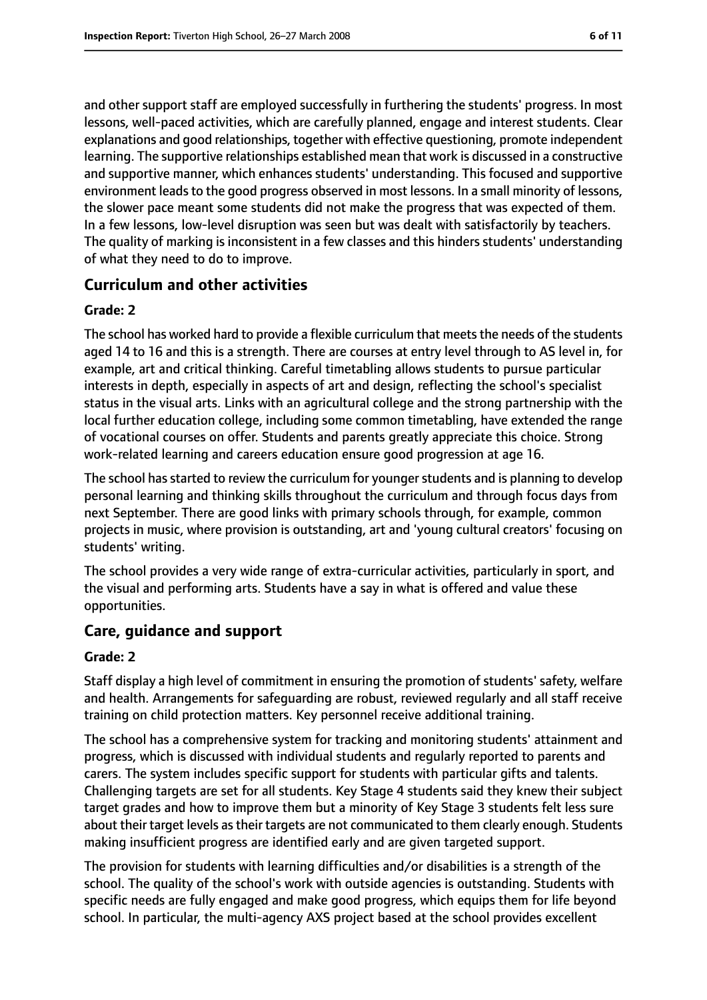and other support staff are employed successfully in furthering the students' progress. In most lessons, well-paced activities, which are carefully planned, engage and interest students. Clear explanations and good relationships, together with effective questioning, promote independent learning. The supportive relationships established mean that work is discussed in a constructive and supportive manner, which enhances students' understanding. This focused and supportive environment leads to the good progress observed in most lessons. In a small minority of lessons, the slower pace meant some students did not make the progress that was expected of them. In a few lessons, low-level disruption was seen but was dealt with satisfactorily by teachers. The quality of marking is inconsistent in a few classes and this hinders students' understanding of what they need to do to improve.

## **Curriculum and other activities**

#### **Grade: 2**

The school has worked hard to provide a flexible curriculum that meets the needs of the students aged 14 to 16 and this is a strength. There are courses at entry level through to AS level in, for example, art and critical thinking. Careful timetabling allows students to pursue particular interests in depth, especially in aspects of art and design, reflecting the school's specialist status in the visual arts. Links with an agricultural college and the strong partnership with the local further education college, including some common timetabling, have extended the range of vocational courses on offer. Students and parents greatly appreciate this choice. Strong work-related learning and careers education ensure good progression at age 16.

The school has started to review the curriculum for younger students and is planning to develop personal learning and thinking skills throughout the curriculum and through focus days from next September. There are good links with primary schools through, for example, common projects in music, where provision is outstanding, art and 'young cultural creators' focusing on students' writing.

The school provides a very wide range of extra-curricular activities, particularly in sport, and the visual and performing arts. Students have a say in what is offered and value these opportunities.

#### **Care, guidance and support**

#### **Grade: 2**

Staff display a high level of commitment in ensuring the promotion of students' safety, welfare and health. Arrangements for safeguarding are robust, reviewed regularly and all staff receive training on child protection matters. Key personnel receive additional training.

The school has a comprehensive system for tracking and monitoring students' attainment and progress, which is discussed with individual students and regularly reported to parents and carers. The system includes specific support for students with particular gifts and talents. Challenging targets are set for all students. Key Stage 4 students said they knew their subject target grades and how to improve them but a minority of Key Stage 3 students felt less sure about their target levels as their targets are not communicated to them clearly enough. Students making insufficient progress are identified early and are given targeted support.

The provision for students with learning difficulties and/or disabilities is a strength of the school. The quality of the school's work with outside agencies is outstanding. Students with specific needs are fully engaged and make good progress, which equips them for life beyond school. In particular, the multi-agency AXS project based at the school provides excellent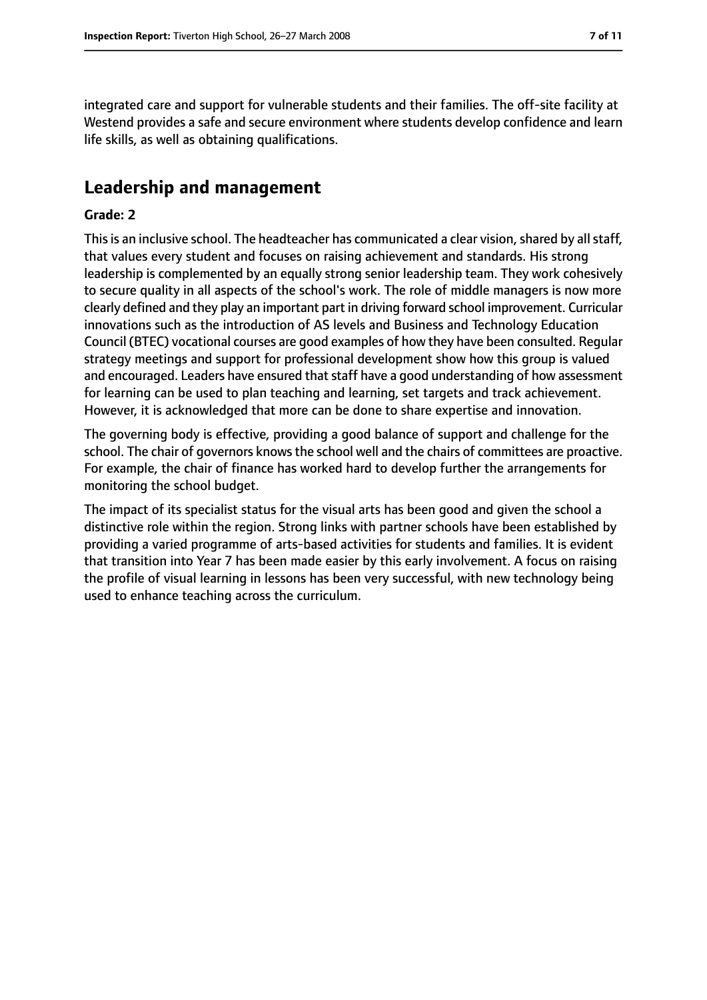integrated care and support for vulnerable students and their families. The off-site facility at Westend provides a safe and secure environment where students develop confidence and learn life skills, as well as obtaining qualifications.

## **Leadership and management**

#### **Grade: 2**

This is an inclusive school. The headteacher has communicated a clear vision, shared by all staff, that values every student and focuses on raising achievement and standards. His strong leadership is complemented by an equally strong senior leadership team. They work cohesively to secure quality in all aspects of the school's work. The role of middle managers is now more clearly defined and they play an important part in driving forward school improvement. Curricular innovations such as the introduction of AS levels and Business and Technology Education Council (BTEC) vocational courses are good examples of how they have been consulted. Regular strategy meetings and support for professional development show how this group is valued and encouraged. Leaders have ensured that staff have a good understanding of how assessment for learning can be used to plan teaching and learning, set targets and track achievement. However, it is acknowledged that more can be done to share expertise and innovation.

The governing body is effective, providing a good balance of support and challenge for the school. The chair of governors knows the school well and the chairs of committees are proactive. For example, the chair of finance has worked hard to develop further the arrangements for monitoring the school budget.

The impact of its specialist status for the visual arts has been good and given the school a distinctive role within the region. Strong links with partner schools have been established by providing a varied programme of arts-based activities for students and families. It is evident that transition into Year 7 has been made easier by this early involvement. A focus on raising the profile of visual learning in lessons has been very successful, with new technology being used to enhance teaching across the curriculum.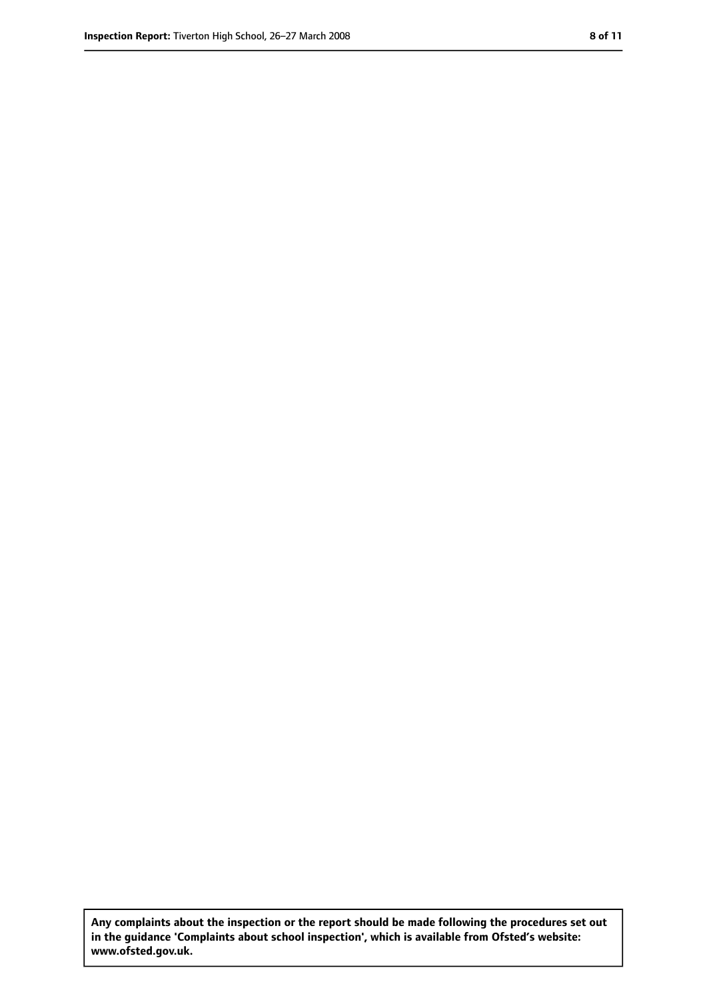**Any complaints about the inspection or the report should be made following the procedures set out in the guidance 'Complaints about school inspection', which is available from Ofsted's website: www.ofsted.gov.uk.**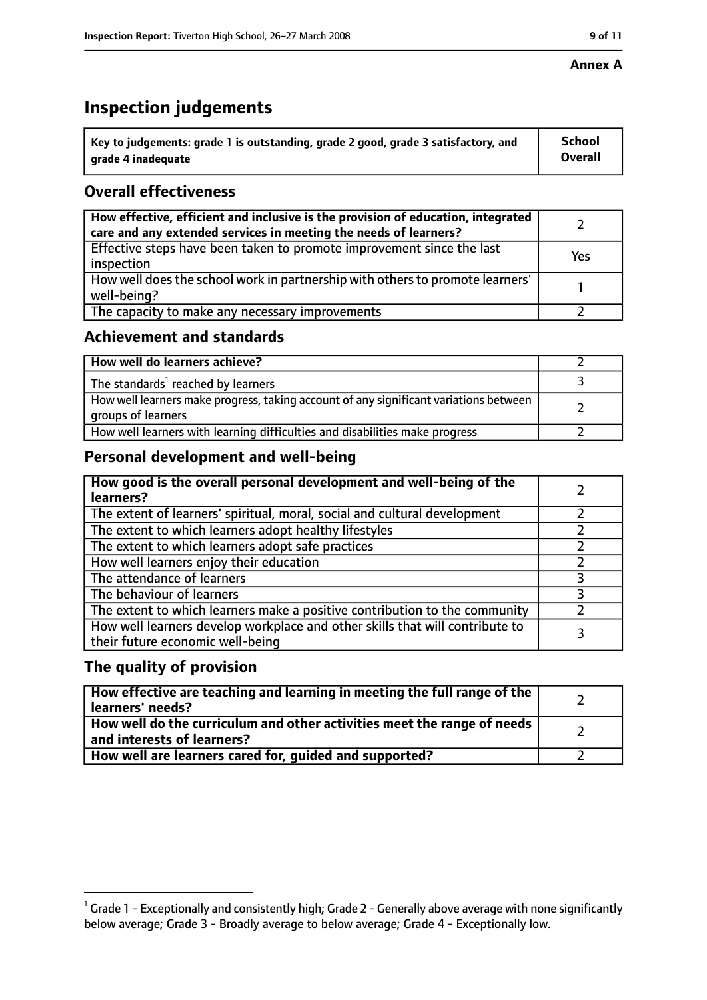#### **Annex A**

# **Inspection judgements**

| $^{\circ}$ Key to judgements: grade 1 is outstanding, grade 2 good, grade 3 satisfactory, and | <b>School</b>  |
|-----------------------------------------------------------------------------------------------|----------------|
| arade 4 inadeguate                                                                            | <b>Overall</b> |

## **Overall effectiveness**

| How effective, efficient and inclusive is the provision of education, integrated<br>care and any extended services in meeting the needs of learners? |     |
|------------------------------------------------------------------------------------------------------------------------------------------------------|-----|
| Effective steps have been taken to promote improvement since the last<br>inspection                                                                  | Yes |
| How well does the school work in partnership with others to promote learners'<br>well-being?                                                         |     |
| The capacity to make any necessary improvements                                                                                                      |     |

## **Achievement and standards**

| How well do learners achieve?                                                                               |  |
|-------------------------------------------------------------------------------------------------------------|--|
| The standards <sup>1</sup> reached by learners                                                              |  |
| How well learners make progress, taking account of any significant variations between<br>groups of learners |  |
| How well learners with learning difficulties and disabilities make progress                                 |  |

## **Personal development and well-being**

| How good is the overall personal development and well-being of the<br>learners?                                  |   |
|------------------------------------------------------------------------------------------------------------------|---|
| The extent of learners' spiritual, moral, social and cultural development                                        |   |
| The extent to which learners adopt healthy lifestyles                                                            |   |
| The extent to which learners adopt safe practices                                                                |   |
| How well learners enjoy their education                                                                          |   |
| The attendance of learners                                                                                       | っ |
| The behaviour of learners                                                                                        |   |
| The extent to which learners make a positive contribution to the community                                       |   |
| How well learners develop workplace and other skills that will contribute to<br>their future economic well-being |   |

## **The quality of provision**

| How effective are teaching and learning in meeting the full range of the<br>learners' needs?                     |  |
|------------------------------------------------------------------------------------------------------------------|--|
| How well do the curriculum and other activities meet the range of needs<br>$^{\rm t}$ and interests of learners? |  |
| How well are learners cared for, guided and supported?                                                           |  |

 $^1$  Grade 1 - Exceptionally and consistently high; Grade 2 - Generally above average with none significantly below average; Grade 3 - Broadly average to below average; Grade 4 - Exceptionally low.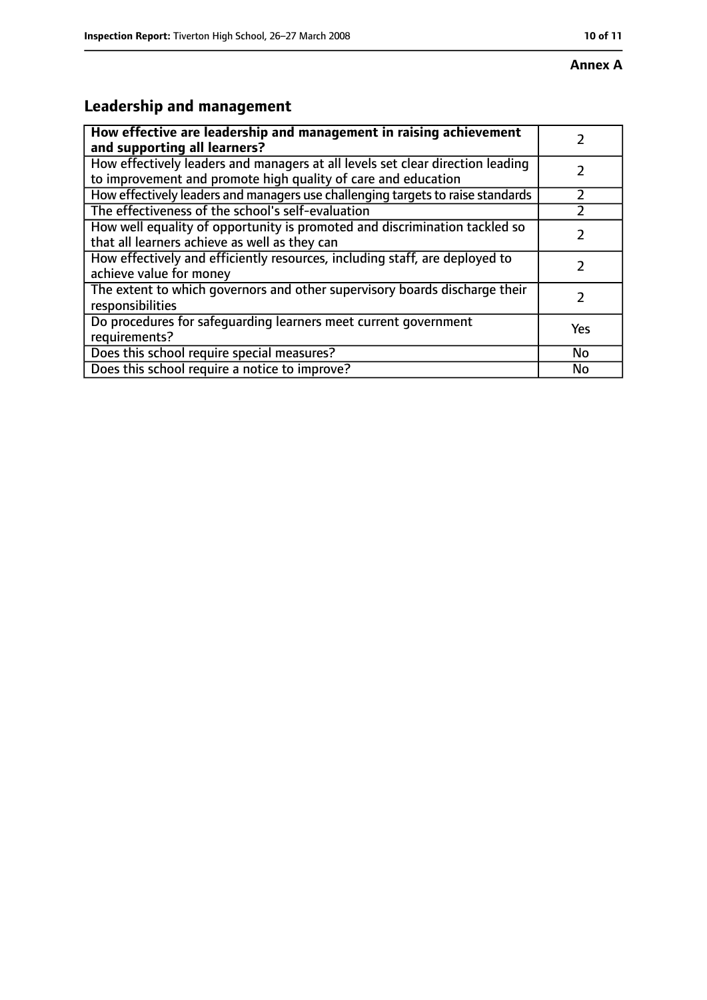# **Annex A**

# **Leadership and management**

| How effective are leadership and management in raising achievement              |     |
|---------------------------------------------------------------------------------|-----|
| and supporting all learners?                                                    |     |
| How effectively leaders and managers at all levels set clear direction leading  |     |
| to improvement and promote high quality of care and education                   |     |
| How effectively leaders and managers use challenging targets to raise standards |     |
| The effectiveness of the school's self-evaluation                               |     |
| How well equality of opportunity is promoted and discrimination tackled so      |     |
| that all learners achieve as well as they can                                   |     |
| How effectively and efficiently resources, including staff, are deployed to     | 7   |
| achieve value for money                                                         |     |
| The extent to which governors and other supervisory boards discharge their      |     |
| responsibilities                                                                |     |
| Do procedures for safequarding learners meet current government                 | Yes |
| requirements?                                                                   |     |
| Does this school require special measures?                                      | No  |
| Does this school require a notice to improve?                                   | No  |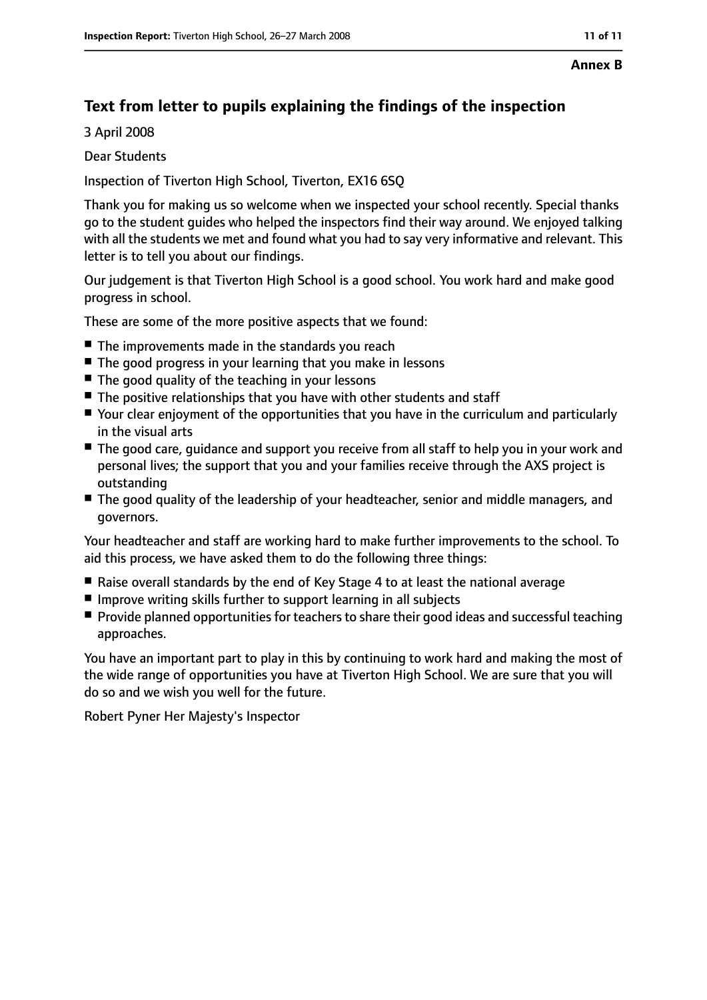## **Text from letter to pupils explaining the findings of the inspection**

3 April 2008

Dear Students

Inspection of Tiverton High School, Tiverton, EX16 6SQ

Thank you for making us so welcome when we inspected your school recently. Special thanks go to the student guides who helped the inspectors find their way around. We enjoyed talking with all the students we met and found what you had to say very informative and relevant. This letter is to tell you about our findings.

Our judgement is that Tiverton High School is a good school. You work hard and make good progress in school.

These are some of the more positive aspects that we found:

- The improvements made in the standards you reach
- The good progress in your learning that you make in lessons
- The good quality of the teaching in your lessons
- The positive relationships that you have with other students and staff
- Your clear enjoyment of the opportunities that you have in the curriculum and particularly in the visual arts
- The good care, guidance and support you receive from all staff to help you in your work and personal lives; the support that you and your families receive through the AXS project is outstanding
- The good quality of the leadership of your headteacher, senior and middle managers, and governors.

Your headteacher and staff are working hard to make further improvements to the school. To aid this process, we have asked them to do the following three things:

- Raise overall standards by the end of Key Stage 4 to at least the national average
- Improve writing skills further to support learning in all subjects
- Provide planned opportunities for teachers to share their good ideas and successful teaching approaches.

You have an important part to play in this by continuing to work hard and making the most of the wide range of opportunities you have at Tiverton High School. We are sure that you will do so and we wish you well for the future.

Robert Pyner Her Majesty's Inspector